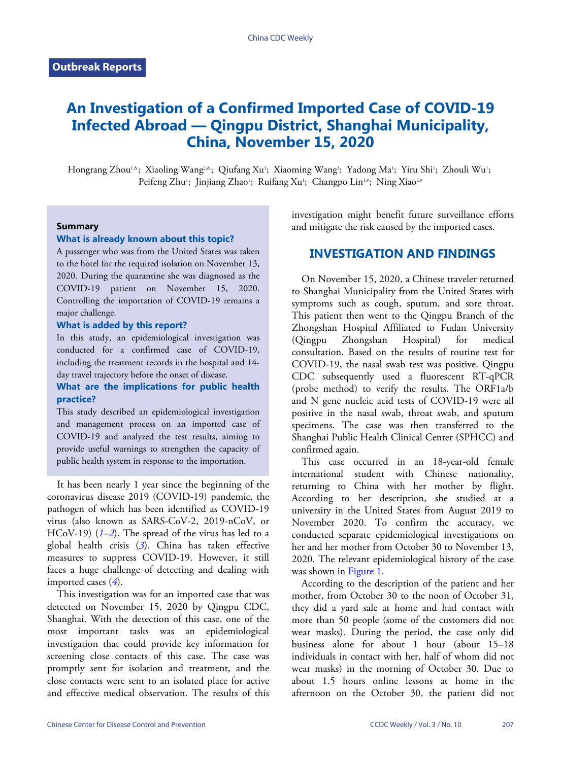# **An Investigation of a Confirmed Imported Case of COVID-19 Infected Abroad — Qingpu District, Shanghai Municipality, China, November 15, 2020**

Hongrang Zhou!.«; Xiaoling Wang<sup>2,«</sup>; Qiufang Xu'; Xiaoming Wang'; Yadong Ma'; Yiru Shi'; Zhouli Wu'; Peifeng Zhu'; Jinjiang Zhao'; Ruifang Xu'; Changpo Lin'<sub>'</sub>'; Ning Xiao<sup>2,#</sup>

#### **Summary**

### **What is already known about this topic?**

A passenger who was from the United States was taken to the hotel for the required isolation on November 13, 2020. During the quarantine she was diagnosed as the COVID-19 patient on November 15, 2020. Controlling the importation of COVID-19 remains a major challenge.

### **What is added by this report?**

In this study, an epidemiological investigation was conducted for a confirmed case of COVID-19, including the treatment records in the hospital and 14 day travel trajectory before the onset of disease.

### **What are the implications for public health practice?**

This study described an epidemiological investigation and management process on an imported case of COVID-19 and analyzed the test results, aiming to provide useful warnings to strengthen the capacity of public health system in response to the importation.

It has been nearly 1 year since the beginning of the coronavirus disease 2019 (COVID-19) pandemic, the pathogen of which has been identified as COVID-19 virus (also known as SARS-CoV-2, 2019-nCoV, or HCoV-19) (*[1](#page-3-0)*–*[2](#page-3-1)*). The spread of the virus has led to a global health crisis (*[3](#page-3-2)*). China has taken effective measures to suppress COVID-19. However, it still faces a huge challenge of detecting and dealing with imported cases (*[4](#page-3-3)*).

This investigation was for an imported case that was detected on November 15, 2020 by Qingpu CDC, Shanghai. With the detection of this case, one of the most important tasks was an epidemiological investigation that could provide key information for screening close contacts of this case. The case was promptly sent for isolation and treatment, and the close contacts were sent to an isolated place for active and effective medical observation. The results of this

investigation might benefit future surveillance efforts and mitigate the risk caused by the imported cases.

### **INVESTIGATION AND FINDINGS**

On November 15, 2020, a Chinese traveler returned to Shanghai Municipality from the United States with symptoms such as cough, sputum, and sore throat. This patient then went to the Qingpu Branch of the Zhongshan Hospital Affiliated to Fudan University (Qingpu Zhongshan Hospital) for medical consultation. Based on the results of routine test for COVID-19, the nasal swab test was positive. Qingpu CDC subsequently used a fluorescent RT-qPCR (probe method) to verify the results. The ORF1a/b and N gene nucleic acid tests of COVID-19 were all positive in the nasal swab, throat swab, and sputum specimens. The case was then transferred to the Shanghai Public Health Clinical Center (SPHCC) and confirmed again.

This case occurred in an 18-year-old female international student with Chinese nationality, returning to China with her mother by flight. According to her description, she studied at a university in the United States from August 2019 to November 2020. To confirm the accuracy, we conducted separate epidemiological investigations on her and her mother from October 30 to November 13, 2020. The relevant epidemiological history of the case was shown in [Figure 1.](#page-1-0)

According to the description of the patient and her mother, from October 30 to the noon of October 31, they did a yard sale at home and had contact with more than 50 people (some of the customers did not wear masks). During the period, the case only did business alone for about 1 hour (about 15–18 individuals in contact with her, half of whom did not wear masks) in the morning of October 30. Due to about 1.5 hours online lessons at home in the afternoon on the October 30, the patient did not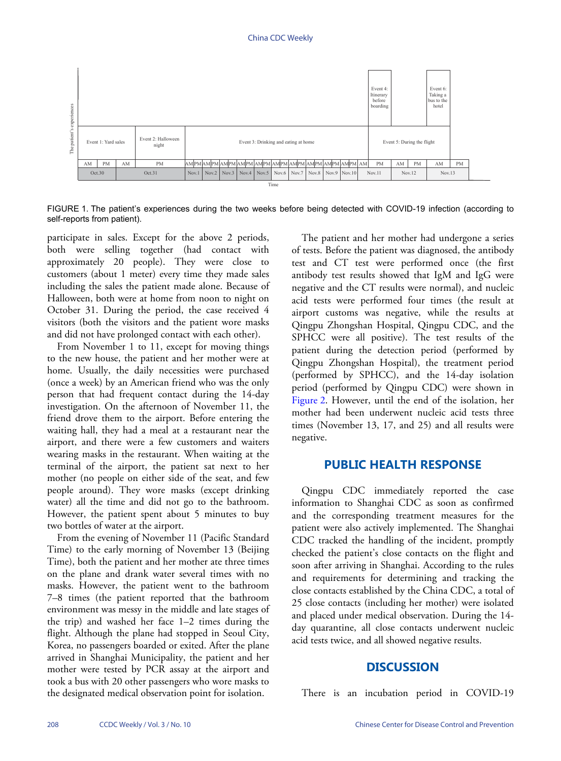<span id="page-1-0"></span>

FIGURE 1. The patient's experiences during the two weeks before being detected with COVID-19 infection (according to self-reports from patient).

participate in sales. Except for the above 2 periods, both were selling together (had contact with approximately 20 people). They were close to customers (about 1 meter) every time they made sales including the sales the patient made alone. Because of Halloween, both were at home from noon to night on October 31. During the period, the case received 4 visitors (both the visitors and the patient wore masks and did not have prolonged contact with each other).

From November 1 to 11, except for moving things to the new house, the patient and her mother were at home. Usually, the daily necessities were purchased (once a week) by an American friend who was the only person that had frequent contact during the 14-day investigation. On the afternoon of November 11, the friend drove them to the airport. Before entering the waiting hall, they had a meal at a restaurant near the airport, and there were a few customers and waiters wearing masks in the restaurant. When waiting at the terminal of the airport, the patient sat next to her mother (no people on either side of the seat, and few people around). They wore masks (except drinking water) all the time and did not go to the bathroom. However, the patient spent about 5 minutes to buy two bottles of water at the airport.

From the evening of November 11 (Pacific Standard Time) to the early morning of November 13 (Beijing Time), both the patient and her mother ate three times on the plane and drank water several times with no masks. However, the patient went to the bathroom 7–8 times (the patient reported that the bathroom environment was messy in the middle and late stages of the trip) and washed her face 1–2 times during the flight. Although the plane had stopped in Seoul City, Korea, no passengers boarded or exited. After the plane arrived in Shanghai Municipality, the patient and her mother were tested by PCR assay at the airport and took a bus with 20 other passengers who wore masks to the designated medical observation point for isolation.

The patient and her mother had undergone a series of tests. Before the patient was diagnosed, the antibody test and CT test were performed once (the first antibody test results showed that IgM and IgG were negative and the CT results were normal), and nucleic acid tests were performed four times (the result at airport customs was negative, while the results at Qingpu Zhongshan Hospital, Qingpu CDC, and the SPHCC were all positive). The test results of the patient during the detection period (performed by Qingpu Zhongshan Hospital), the treatment period (performed by SPHCC), and the 14-day isolation period (performed by Qingpu CDC) were shown in [Figure 2](#page-2-0). However, until the end of the isolation, her mother had been underwent nucleic acid tests three times (November 13, 17, and 25) and all results were negative.

### **PUBLIC HEALTH RESPONSE**

Qingpu CDC immediately reported the case information to Shanghai CDC as soon as confirmed and the corresponding treatment measures for the patient were also actively implemented. The Shanghai CDC tracked the handling of the incident, promptly checked the patient's close contacts on the flight and soon after arriving in Shanghai. According to the rules and requirements for determining and tracking the close contacts established by the China CDC, a total of 25 close contacts (including her mother) were isolated and placed under medical observation. During the 14 day quarantine, all close contacts underwent nucleic acid tests twice, and all showed negative results.

### **DISCUSSION**

There is an incubation period in COVID-19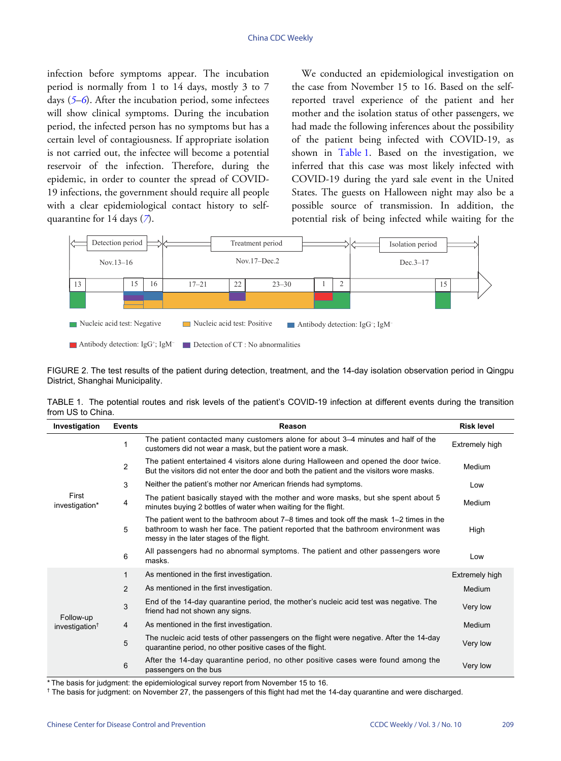infection before symptoms appear. The incubation period is normally from 1 to 14 days, mostly 3 to 7 days (*[5](#page-3-4)*–*[6](#page-3-5)*). After the incubation period, some infectees will show clinical symptoms. During the incubation period, the infected person has no symptoms but has a certain level of contagiousness. If appropriate isolation is not carried out, the infectee will become a potential reservoir of the infection. Therefore, during the epidemic, in order to counter the spread of COVID-19 infections, the government should require all people with a clear epidemio[lo](#page-3-6)gical contact history to selfquarantine for 14 days (*[7](#page-3-6)*).

We conducted an epidemiological investigation on the case from November 15 to 16. Based on the selfreported travel experience of the patient and her mother and the isolation status of other passengers, we had made the following inferences about the possibility of the pat[ient bei](#page-2-1)ng infected with COVID-19, as shown in [Table 1.](#page-2-1) Based on the investigation, we inferred that this case was most likely infected with COVID-19 during the yard sale event in the United States. The guests on Halloween night may also be a possible source of transmission. In addition, the potential risk of being infected while waiting for the

<span id="page-2-0"></span>

FIGURE 2. The test results of the patient during detection, treatment, and the 14-day isolation observation period in Qingpu District, Shanghai Municipality.

<span id="page-2-1"></span>TABLE 1. The potential routes and risk levels of the patient's COVID-19 infection at different events during the transition from US to China.

| Investigation                  | <b>Events</b>  | Reason                                                                                                                                                                                                                       | <b>Risk level</b> |
|--------------------------------|----------------|------------------------------------------------------------------------------------------------------------------------------------------------------------------------------------------------------------------------------|-------------------|
| First<br>investigation*        | 1              | The patient contacted many customers alone for about 3–4 minutes and half of the<br>customers did not wear a mask, but the patient wore a mask.                                                                              | Extremely high    |
|                                | $\overline{c}$ | The patient entertained 4 visitors alone during Halloween and opened the door twice.<br>But the visitors did not enter the door and both the patient and the visitors wore masks.                                            | Medium            |
|                                | 3              | Neither the patient's mother nor American friends had symptoms.                                                                                                                                                              | Low               |
|                                | 4              | The patient basically stayed with the mother and wore masks, but she spent about 5<br>minutes buying 2 bottles of water when waiting for the flight.                                                                         | Medium            |
|                                | 5              | The patient went to the bathroom about $7-8$ times and took off the mask $1-2$ times in the<br>bathroom to wash her face. The patient reported that the bathroom environment was<br>messy in the later stages of the flight. | High              |
|                                | 6              | All passengers had no abnormal symptoms. The patient and other passengers wore<br>masks.                                                                                                                                     | Low               |
| Follow-up<br>investigation $†$ | $\mathbf{1}$   | As mentioned in the first investigation.                                                                                                                                                                                     | Extremely high    |
|                                | 2              | As mentioned in the first investigation.                                                                                                                                                                                     | Medium            |
|                                | 3              | End of the 14-day quarantine period, the mother's nucleic acid test was negative. The<br>friend had not shown any signs.                                                                                                     | Very low          |
|                                | 4              | As mentioned in the first investigation.                                                                                                                                                                                     | Medium            |
|                                | 5              | The nucleic acid tests of other passengers on the flight were negative. After the 14-day<br>quarantine period, no other positive cases of the flight.                                                                        | Very low          |
|                                | 6              | After the 14-day quarantine period, no other positive cases were found among the<br>passengers on the bus                                                                                                                    | Very low          |

\* The basis for judgment: the epidemiological survey report from November 15 to 16.

† The basis for judgment: on November 27, the passengers of this flight had met the 14-day quarantine and were discharged.